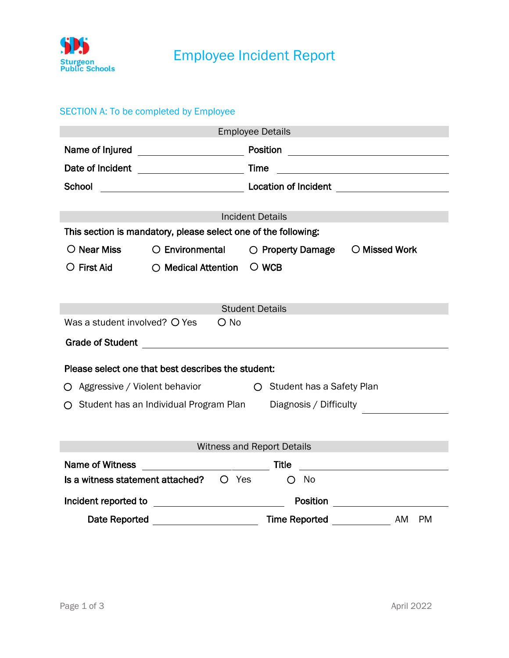

## SECTION A: To be completed by Employee

| <b>Employee Details</b>                                                  |                                                                                               |                                                     |                                                                                                                                                                                                                                               |  |
|--------------------------------------------------------------------------|-----------------------------------------------------------------------------------------------|-----------------------------------------------------|-----------------------------------------------------------------------------------------------------------------------------------------------------------------------------------------------------------------------------------------------|--|
| Name of Injured                                                          |                                                                                               |                                                     |                                                                                                                                                                                                                                               |  |
| Date of Incident                                                         | <b>Time</b> Time                                                                              |                                                     | <u> 1989 - Johann Harry Harry Harry Harry Harry Harry Harry Harry Harry Harry Harry Harry Harry Harry Harry Harry</u>                                                                                                                         |  |
| School                                                                   |                                                                                               |                                                     | Location of Incident <b>Construction</b> Constant <b>Construction</b> Constant <b>Construction</b> Constant Construction Construction Construction Construction Construction Construction Construction Construction Construction Construction |  |
|                                                                          |                                                                                               |                                                     |                                                                                                                                                                                                                                               |  |
| <b>Incident Details</b>                                                  |                                                                                               |                                                     |                                                                                                                                                                                                                                               |  |
| This section is mandatory, please select one of the following:           |                                                                                               |                                                     |                                                                                                                                                                                                                                               |  |
| $\bigcirc$ Near Miss                                                     |                                                                                               | $\bigcirc$ Environmental $\bigcirc$ Property Damage | O Missed Work                                                                                                                                                                                                                                 |  |
| $\bigcirc$ First Aid                                                     | $\bigcirc$ Medical Attention                                                                  | $\circ$ wcb                                         |                                                                                                                                                                                                                                               |  |
|                                                                          |                                                                                               |                                                     |                                                                                                                                                                                                                                               |  |
|                                                                          |                                                                                               |                                                     |                                                                                                                                                                                                                                               |  |
| <b>Student Details</b><br>Was a student involved? O Yes<br>$\bigcirc$ No |                                                                                               |                                                     |                                                                                                                                                                                                                                               |  |
|                                                                          |                                                                                               |                                                     |                                                                                                                                                                                                                                               |  |
|                                                                          | Grade of Student <b>Container Container Container Container Container Container Container</b> |                                                     |                                                                                                                                                                                                                                               |  |
| Please select one that best describes the student:                       |                                                                                               |                                                     |                                                                                                                                                                                                                                               |  |
| O Aggressive / Violent behavior<br>○ Student has a Safety Plan           |                                                                                               |                                                     |                                                                                                                                                                                                                                               |  |
| ○ Student has an Individual Program Plan<br>Diagnosis / Difficulty       |                                                                                               |                                                     |                                                                                                                                                                                                                                               |  |
|                                                                          |                                                                                               |                                                     |                                                                                                                                                                                                                                               |  |
|                                                                          |                                                                                               |                                                     |                                                                                                                                                                                                                                               |  |
| <b>Witness and Report Details</b>                                        |                                                                                               |                                                     |                                                                                                                                                                                                                                               |  |
| <b>Name of Witness</b>                                                   |                                                                                               | Title                                               | <u> 1989 - Andrea Station Books, amerikansk politiker (</u>                                                                                                                                                                                   |  |
|                                                                          | $\overline{\mathsf{I}}$ is a witness statement attached? $\overline{\mathsf{O}}$ Yes          | No<br>O                                             |                                                                                                                                                                                                                                               |  |
|                                                                          |                                                                                               |                                                     |                                                                                                                                                                                                                                               |  |
|                                                                          |                                                                                               |                                                     | AM<br><b>PM</b>                                                                                                                                                                                                                               |  |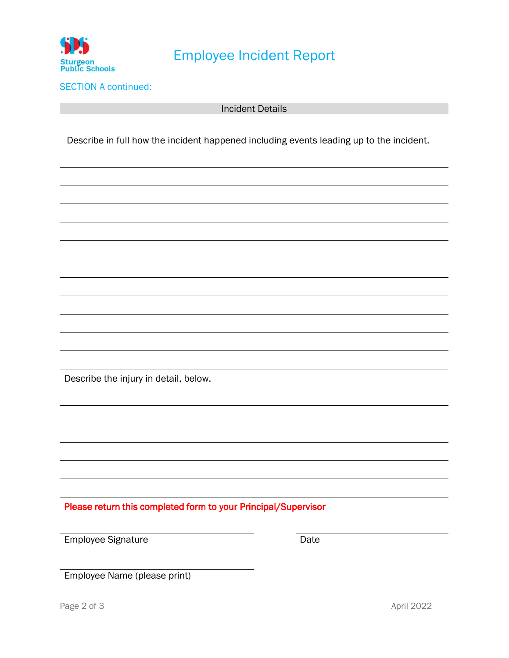

## Employee Incident Report

SECTION A continued:

Incident Details

Describe in full how the incident happened including events leading up to the incident.

Describe the injury in detail, below.

Please return this completed form to your Principal/Supervisor

Employee Signature Date

 $\overline{\phantom{a}}$ 

Employee Name (please print)